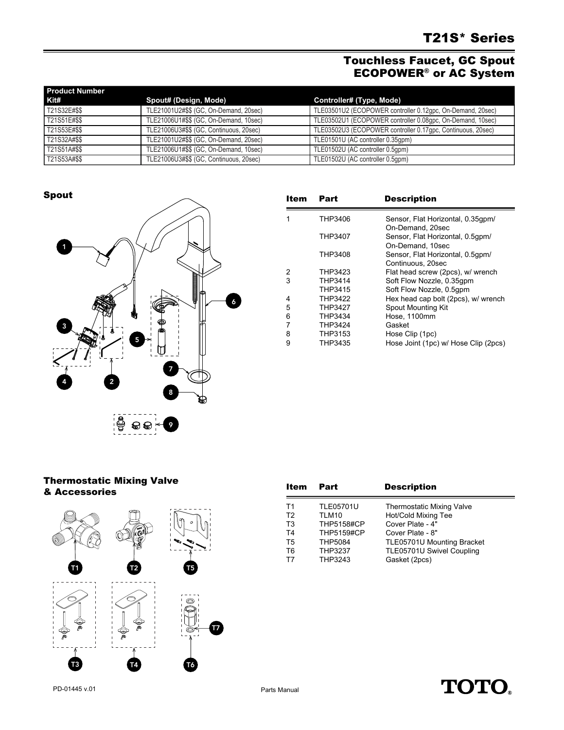## Touchless Faucet, GC Spout ECOPOWER® or AC System

| <b>Product Number</b> |                                         |                                                             |  |  |
|-----------------------|-----------------------------------------|-------------------------------------------------------------|--|--|
| Kit#                  | Spout# (Design, Mode)                   | Controller# (Type, Mode)                                    |  |  |
| T21S32E#\$\$          | TLE21001U2#\$\$ (GC, On-Demand, 20sec)  | TLE03501U2 (ECOPOWER controller 0.12gpc, On-Demand, 20sec)  |  |  |
| T21S51E#\$\$          | TLE21006U1#\$\$ (GC, On-Demand, 10sec)  | TLE03502U1 (ECOPOWER controller 0.08gpc, On-Demand, 10sec)  |  |  |
| T21S53E#\$\$          | TLE21006U3#\$\$ (GC, Continuous, 20sec) | TLE03502U3 (ECOPOWER controller 0.17gpc, Continuous, 20sec) |  |  |
| T21S32A#\$\$          | TLE21001U2#\$\$ (GC, On-Demand, 20sec)  | TLE01501U (AC controller 0.35qpm)                           |  |  |
| T21S51A#\$\$          | TLE21006U1#\$\$ (GC, On-Demand, 10sec)  | TLE01502U (AC controller 0.5qpm)                            |  |  |
| T21S53A#\$\$          | TLE21006U3#\$\$ (GC, Continuous, 20sec) | TLE01502U (AC controller 0.5qpm)                            |  |  |

Spout



| <b>Item</b> | Part           | <b>Description</b>                   |
|-------------|----------------|--------------------------------------|
|             | THP3406        | Sensor, Flat Horizontal, 0.35qpm/    |
|             |                | On-Demand, 20sec                     |
|             | THP3407        | Sensor, Flat Horizontal, 0.5gpm/     |
|             |                | On-Demand, 10sec                     |
|             | THP3408        | Sensor, Flat Horizontal, 0.5gpm/     |
|             |                | Continuous, 20sec                    |
| 2           | THP3423        | Flat head screw (2pcs), w/ wrench    |
| 3           | THP3414        | Soft Flow Nozzle, 0.35qpm            |
|             | THP3415        | Soft Flow Nozzle, 0.5qpm             |
| 4           | THP3422        | Hex head cap bolt (2pcs), w/ wrench  |
| 5           | <b>THP3427</b> | Spout Mounting Kit                   |
| 6           | THP3434        | Hose, 1100mm                         |
| 7           | THP3424        | Gasket                               |
| 8           | THP3153        | Hose Clip (1pc)                      |
| 9           | THP3435        | Hose Joint (1pc) w/ Hose Clip (2pcs) |

## Thermostatic Mixing Valve & Accessories



| Item           | Part              | <b>Description</b>               |
|----------------|-------------------|----------------------------------|
| T1             | <b>TLE05701U</b>  | <b>Thermostatic Mixing Valve</b> |
| T <sub>2</sub> | TLM10             | Hot/Cold Mixing Tee              |
| T <sub>3</sub> | <b>THP5158#CP</b> | Cover Plate - 4"                 |
| T4             | <b>THP5159#CP</b> | Cover Plate - 8"                 |
| T <sub>5</sub> | <b>THP5084</b>    | TLE05701U Mounting Bracket       |
| T6             | THP3237           | TLE05701U Swivel Coupling        |
| T7             | THP3243           | Gasket (2pcs)                    |